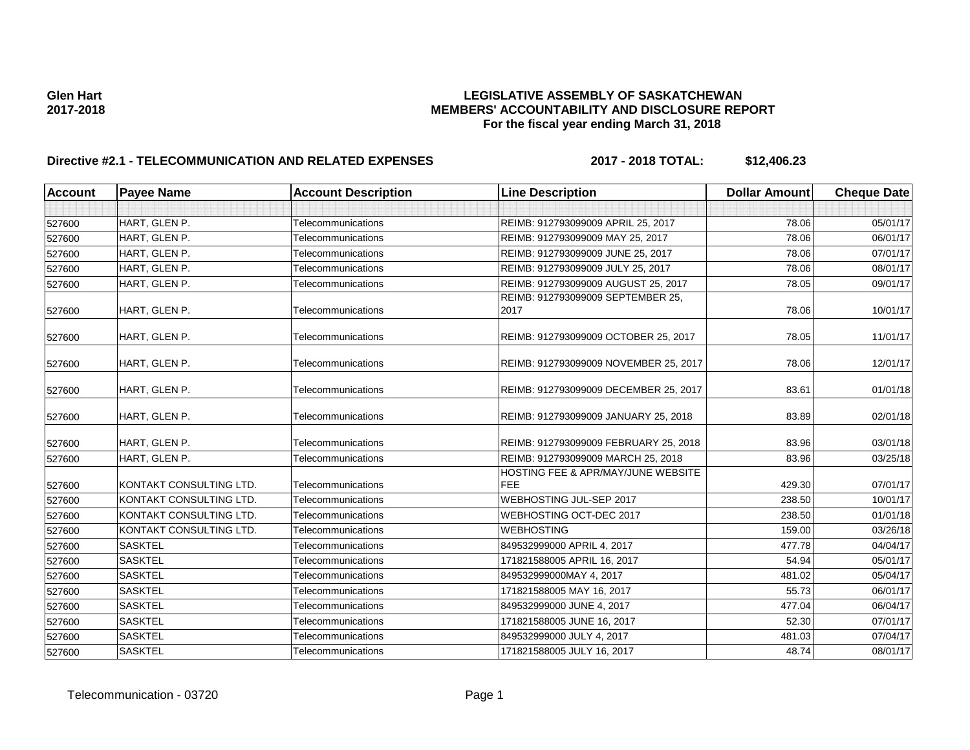## Glen Hart<br>**LEGISLATIVE ASSEMBLY OF SASKATCHEWAN**<br>MEMBERS' ACCOUNTABILITY AND DISCLOSURE REF **2017-2018 MEMBERS' ACCOUNTABILITY AND DISCLOSURE REPORT For the fiscal year ending March 31, 2018**

# **Directive #2.1 - TELECOMMUNICATION AND RELATED EXPENSES 2017 - 2018 TOTAL: \$12,406.23**

| <b>Account</b> | <b>Payee Name</b>       | <b>Account Description</b> | <b>Line Description</b>                                     | <b>Dollar Amount</b> | <b>Cheque Date</b> |
|----------------|-------------------------|----------------------------|-------------------------------------------------------------|----------------------|--------------------|
|                |                         |                            |                                                             |                      |                    |
| 527600         | HART, GLEN P.           | <b>Telecommunications</b>  | REIMB: 912793099009 APRIL 25, 2017                          | 78.06                | 05/01/17           |
| 527600         | HART, GLEN P.           | Telecommunications         | REIMB: 912793099009 MAY 25, 2017                            | 78.06                | 06/01/17           |
| 527600         | HART, GLEN P.           | Telecommunications         | REIMB: 912793099009 JUNE 25, 2017                           | 78.06                | 07/01/17           |
| 527600         | HART, GLEN P.           | Telecommunications         | REIMB: 912793099009 JULY 25, 2017                           | 78.06                | 08/01/17           |
| 527600         | HART, GLEN P.           | Telecommunications         | REIMB: 912793099009 AUGUST 25, 2017                         | 78.05                | 09/01/17           |
| 527600         | HART, GLEN P.           | Telecommunications         | REIMB: 912793099009 SEPTEMBER 25,<br>2017                   | 78.06                | 10/01/17           |
| 527600         | HART, GLEN P.           | Telecommunications         | REIMB: 912793099009 OCTOBER 25, 2017                        | 78.05                | 11/01/17           |
| 527600         | HART, GLEN P.           | Telecommunications         | REIMB: 912793099009 NOVEMBER 25, 2017                       | 78.06                | 12/01/17           |
| 527600         | HART, GLEN P.           | Telecommunications         | REIMB: 912793099009 DECEMBER 25, 2017                       | 83.61                | 01/01/18           |
| 527600         | HART, GLEN P.           | Telecommunications         | REIMB: 912793099009 JANUARY 25, 2018                        | 83.89                | 02/01/18           |
| 527600         | HART, GLEN P.           | Telecommunications         | REIMB: 912793099009 FEBRUARY 25, 2018                       | 83.96                | 03/01/18           |
| 527600         | HART, GLEN P.           | <b>Telecommunications</b>  | REIMB: 912793099009 MARCH 25, 2018                          | 83.96                | 03/25/18           |
| 527600         | KONTAKT CONSULTING LTD. | Telecommunications         | <b>HOSTING FEE &amp; APR/MAY/JUNE WEBSITE</b><br><b>FEE</b> | 429.30               | 07/01/17           |
| 527600         | KONTAKT CONSULTING LTD. | Telecommunications         | WEBHOSTING JUL-SEP 2017                                     | 238.50               | 10/01/17           |
| 527600         | KONTAKT CONSULTING LTD. | Telecommunications         | WEBHOSTING OCT-DEC 2017                                     | 238.50               | 01/01/18           |
| 527600         | KONTAKT CONSULTING LTD. | Telecommunications         | <b>WEBHOSTING</b>                                           | 159.00               | 03/26/18           |
| 527600         | <b>SASKTEL</b>          | Telecommunications         | 849532999000 APRIL 4, 2017                                  | 477.78               | 04/04/17           |
| 527600         | <b>SASKTEL</b>          | Telecommunications         | 171821588005 APRIL 16, 2017                                 | 54.94                | 05/01/17           |
| 527600         | <b>SASKTEL</b>          | Telecommunications         | 849532999000MAY 4, 2017                                     | 481.02               | 05/04/17           |
| 527600         | <b>SASKTEL</b>          | Telecommunications         | 171821588005 MAY 16, 2017                                   | 55.73                | 06/01/17           |
| 527600         | <b>SASKTEL</b>          | Telecommunications         | 849532999000 JUNE 4, 2017                                   | 477.04               | 06/04/17           |
| 527600         | <b>SASKTEL</b>          | Telecommunications         | 171821588005 JUNE 16, 2017                                  | 52.30                | 07/01/17           |
| 527600         | <b>SASKTEL</b>          | Telecommunications         | 849532999000 JULY 4, 2017                                   | 481.03               | 07/04/17           |
| 527600         | <b>SASKTEL</b>          | Telecommunications         | 171821588005 JULY 16, 2017                                  | 48.74                | 08/01/17           |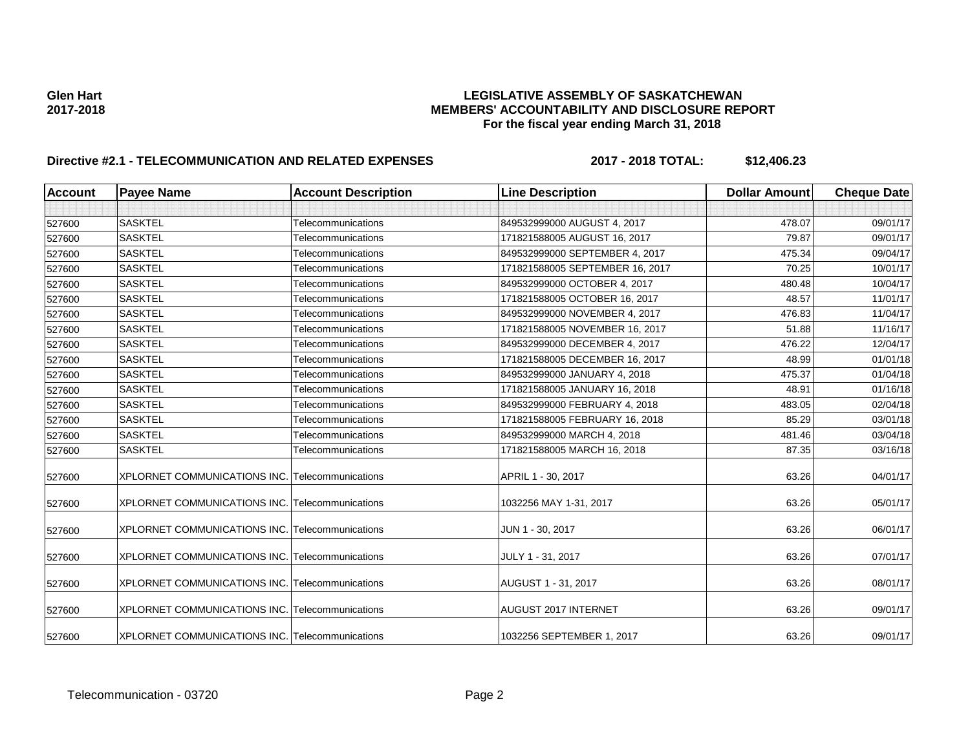# Glen Hart<br>**LEGISLATIVE ASSEMBLY OF SASKATCHEWAN**<br>MEMBERS' ACCOUNTABILITY AND DISCLOSURE REF **2017-2018 MEMBERS' ACCOUNTABILITY AND DISCLOSURE REPORT For the fiscal year ending March 31, 2018**

# **Directive #2.1 - TELECOMMUNICATION AND RELATED EXPENSES 2017 - 2018 TOTAL: \$12,406.23**

| <b>Account</b> | <b>Payee Name</b>                                      | <b>Account Description</b> | <b>Line Description</b>         | <b>Dollar Amount</b> | <b>Cheque Date</b> |
|----------------|--------------------------------------------------------|----------------------------|---------------------------------|----------------------|--------------------|
|                |                                                        |                            |                                 |                      |                    |
| 527600         | <b>SASKTEL</b>                                         | Telecommunications         | 849532999000 AUGUST 4, 2017     | 478.07               | 09/01/17           |
| 527600         | <b>SASKTEL</b>                                         | Telecommunications         | 171821588005 AUGUST 16, 2017    | 79.87                | 09/01/17           |
| 527600         | <b>SASKTEL</b>                                         | Telecommunications         | 849532999000 SEPTEMBER 4, 2017  | 475.34               | 09/04/17           |
| 527600         | <b>SASKTEL</b>                                         | Telecommunications         | 171821588005 SEPTEMBER 16, 2017 | 70.25                | 10/01/17           |
| 527600         | <b>SASKTEL</b>                                         | <b>Telecommunications</b>  | 849532999000 OCTOBER 4, 2017    | 480.48               | 10/04/17           |
| 527600         | <b>SASKTEL</b>                                         | Telecommunications         | 171821588005 OCTOBER 16, 2017   | 48.57                | 11/01/17           |
| 527600         | <b>SASKTEL</b>                                         | Telecommunications         | 849532999000 NOVEMBER 4, 2017   | 476.83               | 11/04/17           |
| 527600         | <b>SASKTEL</b>                                         | Telecommunications         | 171821588005 NOVEMBER 16, 2017  | 51.88                | 11/16/17           |
| 527600         | <b>SASKTEL</b>                                         | <b>Telecommunications</b>  | 849532999000 DECEMBER 4, 2017   | 476.22               | 12/04/17           |
| 527600         | <b>SASKTEL</b>                                         | Telecommunications         | 171821588005 DECEMBER 16, 2017  | 48.99                | 01/01/18           |
| 527600         | <b>SASKTEL</b>                                         | Telecommunications         | 849532999000 JANUARY 4, 2018    | 475.37               | 01/04/18           |
| 527600         | <b>SASKTEL</b>                                         | Telecommunications         | 171821588005 JANUARY 16, 2018   | 48.91                | 01/16/18           |
| 527600         | <b>SASKTEL</b>                                         | Telecommunications         | 849532999000 FEBRUARY 4, 2018   | 483.05               | 02/04/18           |
| 527600         | <b>SASKTEL</b>                                         | <b>Telecommunications</b>  | 171821588005 FEBRUARY 16, 2018  | 85.29                | 03/01/18           |
| 527600         | <b>SASKTEL</b>                                         | Telecommunications         | 849532999000 MARCH 4, 2018      | 481.46               | 03/04/18           |
| 527600         | <b>SASKTEL</b>                                         | <b>Telecommunications</b>  | 171821588005 MARCH 16, 2018     | 87.35                | 03/16/18           |
| 527600         | <b>XPLORNET COMMUNICATIONS INC. Telecommunications</b> |                            | APRIL 1 - 30, 2017              | 63.26                | 04/01/17           |
| 527600         | XPLORNET COMMUNICATIONS INC. Telecommunications        |                            | 1032256 MAY 1-31, 2017          | 63.26                | 05/01/17           |
| 527600         | XPLORNET COMMUNICATIONS INC. Telecommunications        |                            | JUN 1 - 30, 2017                | 63.26                | 06/01/17           |
| 527600         | XPLORNET COMMUNICATIONS INC. Telecommunications        |                            | JULY 1 - 31, 2017               | 63.26                | 07/01/17           |
| 527600         | XPLORNET COMMUNICATIONS INC. Telecommunications        |                            | AUGUST 1 - 31, 2017             | 63.26                | 08/01/17           |
| 527600         | XPLORNET COMMUNICATIONS INC. Telecommunications        |                            | <b>AUGUST 2017 INTERNET</b>     | 63.26                | 09/01/17           |
| 527600         | XPLORNET COMMUNICATIONS INC. Telecommunications        |                            | 1032256 SEPTEMBER 1, 2017       | 63.26                | 09/01/17           |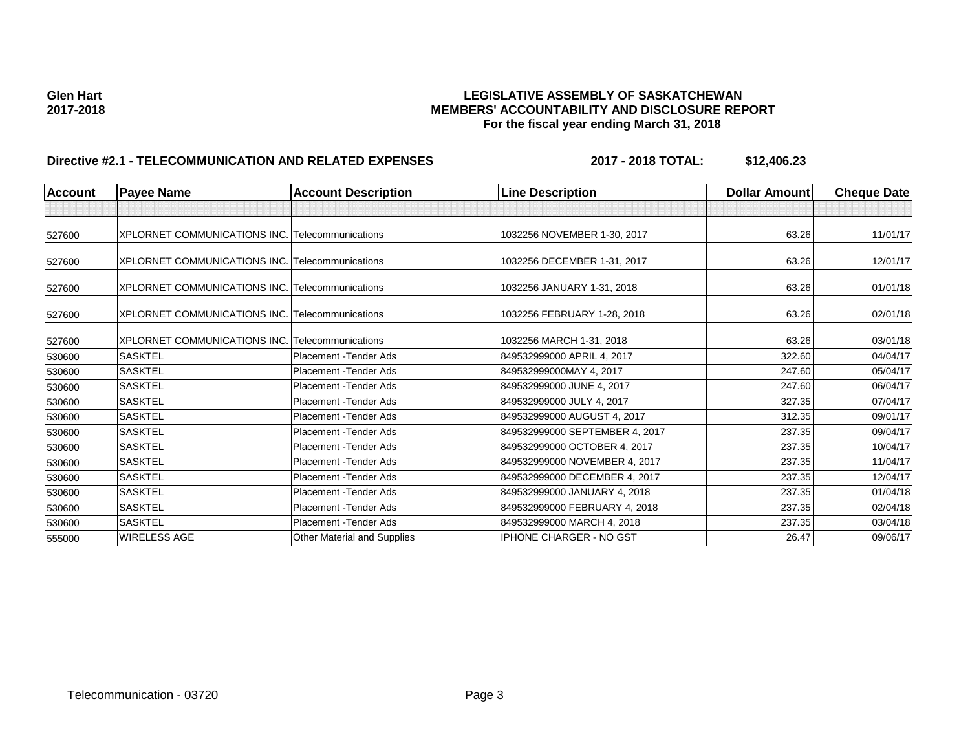## Glen Hart<br>**LEGISLATIVE ASSEMBLY OF SASKATCHEWAN**<br>MEMBERS' ACCOUNTABILITY AND DISCLOSURE REF **2017-2018 MEMBERS' ACCOUNTABILITY AND DISCLOSURE REPORT For the fiscal year ending March 31, 2018**

# **Directive #2.1 - TELECOMMUNICATION AND RELATED EXPENSES 2017 - 2018 TOTAL: \$12,406.23**

| <b>Account</b> | <b>Payee Name</b>                               | <b>Account Description</b>         | <b>Line Description</b>        | Dollar Amount | <b>Cheque Date</b> |
|----------------|-------------------------------------------------|------------------------------------|--------------------------------|---------------|--------------------|
|                |                                                 |                                    |                                |               |                    |
| 527600         | XPLORNET COMMUNICATIONS INC. Telecommunications |                                    | 1032256 NOVEMBER 1-30, 2017    | 63.26         | 11/01/17           |
| 527600         | XPLORNET COMMUNICATIONS INC. Telecommunications |                                    | 1032256 DECEMBER 1-31, 2017    | 63.26         | 12/01/17           |
| 527600         | XPLORNET COMMUNICATIONS INC. Telecommunications |                                    | 1032256 JANUARY 1-31, 2018     | 63.26         | 01/01/18           |
| 527600         | XPLORNET COMMUNICATIONS INC. Telecommunications |                                    | 1032256 FEBRUARY 1-28, 2018    | 63.26         | 02/01/18           |
| 527600         | XPLORNET COMMUNICATIONS INC. Telecommunications |                                    | 1032256 MARCH 1-31, 2018       | 63.26         | 03/01/18           |
| 530600         | <b>SASKTEL</b>                                  | Placement - Tender Ads             | 849532999000 APRIL 4, 2017     | 322.60        | 04/04/17           |
| 530600         | <b>SASKTEL</b>                                  | Placement - Tender Ads             | 849532999000MAY 4, 2017        | 247.60        | 05/04/17           |
| 530600         | <b>SASKTEL</b>                                  | Placement - Tender Ads             | 849532999000 JUNE 4, 2017      | 247.60        | 06/04/17           |
| 530600         | <b>SASKTEL</b>                                  | Placement - Tender Ads             | 849532999000 JULY 4, 2017      | 327.35        | 07/04/17           |
| 530600         | <b>SASKTEL</b>                                  | Placement - Tender Ads             | 849532999000 AUGUST 4, 2017    | 312.35        | 09/01/17           |
| 530600         | <b>SASKTEL</b>                                  | Placement - Tender Ads             | 849532999000 SEPTEMBER 4, 2017 | 237.35        | 09/04/17           |
| 530600         | <b>SASKTEL</b>                                  | Placement - Tender Ads             | 849532999000 OCTOBER 4, 2017   | 237.35        | 10/04/17           |
| 530600         | <b>SASKTEL</b>                                  | Placement - Tender Ads             | 849532999000 NOVEMBER 4, 2017  | 237.35        | 11/04/17           |
| 530600         | <b>SASKTEL</b>                                  | Placement - Tender Ads             | 849532999000 DECEMBER 4, 2017  | 237.35        | 12/04/17           |
| 530600         | <b>SASKTEL</b>                                  | Placement - Tender Ads             | 849532999000 JANUARY 4, 2018   | 237.35        | 01/04/18           |
| 530600         | <b>SASKTEL</b>                                  | Placement - Tender Ads             | 849532999000 FEBRUARY 4, 2018  | 237.35        | 02/04/18           |
| 530600         | <b>SASKTEL</b>                                  | Placement - Tender Ads             | 849532999000 MARCH 4, 2018     | 237.35        | 03/04/18           |
| 555000         | <b>WIRELESS AGE</b>                             | <b>Other Material and Supplies</b> | <b>IPHONE CHARGER - NO GST</b> | 26.47         | 09/06/17           |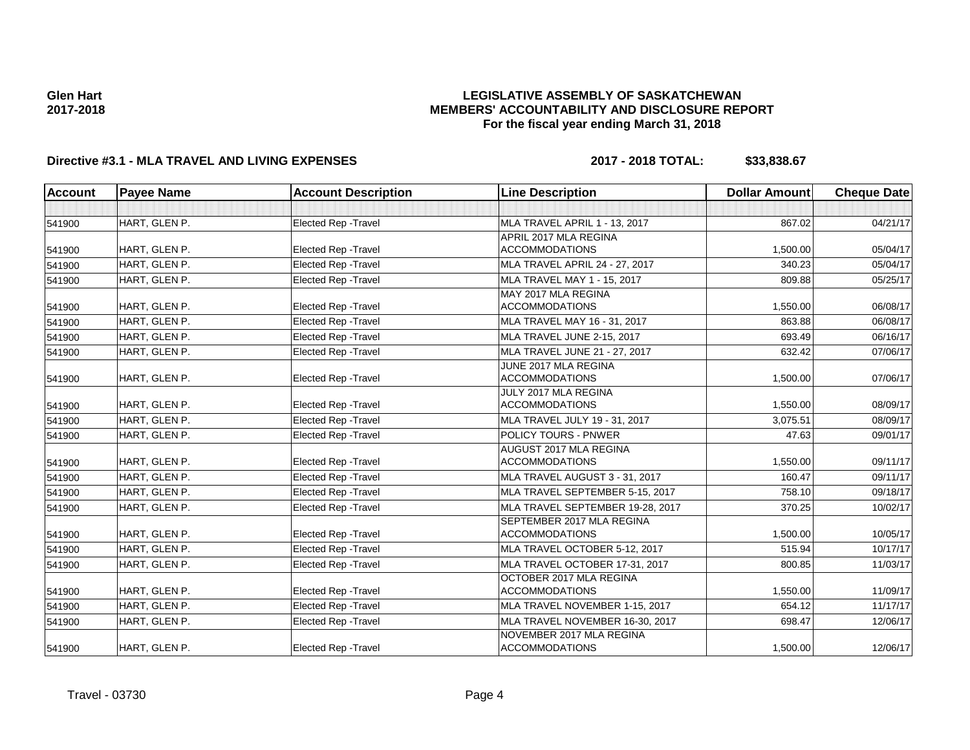## **LEGISLATIVE ASSEMBLY OF SASKATCHEWAN MEMBERS' ACCOUNTABILITY AND DISCLOSURE REPORT For the fiscal year ending March 31, 2018**

# **Directive #3.1 - MLA TRAVEL AND LIVING EXPENSES 2017 - 2018 TOTAL: \$33,838.67**

| <b>Account</b> | <b>Payee Name</b> | <b>Account Description</b>  | <b>Line Description</b>          | <b>Dollar Amount</b> | <b>Cheque Date</b> |
|----------------|-------------------|-----------------------------|----------------------------------|----------------------|--------------------|
|                |                   |                             |                                  |                      |                    |
| 541900         | HART, GLEN P.     | <b>Elected Rep - Travel</b> | MLA TRAVEL APRIL 1 - 13, 2017    | 867.02               | 04/21/17           |
|                |                   |                             | APRIL 2017 MLA REGINA            |                      |                    |
| 541900         | HART, GLEN P.     | <b>Elected Rep - Travel</b> | <b>ACCOMMODATIONS</b>            | 1,500.00             | 05/04/17           |
| 541900         | HART, GLEN P.     | Elected Rep - Travel        | MLA TRAVEL APRIL 24 - 27, 2017   | 340.23               | 05/04/17           |
| 541900         | HART, GLEN P.     | <b>Elected Rep - Travel</b> | MLA TRAVEL MAY 1 - 15, 2017      | 809.88               | 05/25/17           |
|                |                   |                             | MAY 2017 MLA REGINA              |                      |                    |
| 541900         | HART, GLEN P.     | Elected Rep - Travel        | <b>ACCOMMODATIONS</b>            | 1,550.00             | 06/08/17           |
| 541900         | HART. GLEN P.     | <b>Elected Rep - Travel</b> | MLA TRAVEL MAY 16 - 31, 2017     | 863.88               | 06/08/17           |
| 541900         | HART, GLEN P.     | <b>Elected Rep - Travel</b> | MLA TRAVEL JUNE 2-15, 2017       | 693.49               | 06/16/17           |
| 541900         | HART, GLEN P.     | <b>Elected Rep - Travel</b> | MLA TRAVEL JUNE 21 - 27, 2017    | 632.42               | 07/06/17           |
|                |                   |                             | JUNE 2017 MLA REGINA             |                      |                    |
| 541900         | HART, GLEN P.     | <b>Elected Rep - Travel</b> | <b>ACCOMMODATIONS</b>            | 1,500.00             | 07/06/17           |
|                |                   |                             | JULY 2017 MLA REGINA             |                      |                    |
| 541900         | HART, GLEN P.     | <b>Elected Rep - Travel</b> | <b>ACCOMMODATIONS</b>            | 1,550.00             | 08/09/17           |
| 541900         | HART, GLEN P.     | <b>Elected Rep - Travel</b> | MLA TRAVEL JULY 19 - 31, 2017    | 3,075.51             | 08/09/17           |
| 541900         | HART, GLEN P.     | <b>Elected Rep - Travel</b> | POLICY TOURS - PNWER             | 47.63                | 09/01/17           |
|                |                   |                             | <b>AUGUST 2017 MLA REGINA</b>    |                      |                    |
| 541900         | HART, GLEN P.     | <b>Elected Rep - Travel</b> | <b>ACCOMMODATIONS</b>            | 1,550.00             | 09/11/17           |
| 541900         | HART, GLEN P.     | <b>Elected Rep - Travel</b> | MLA TRAVEL AUGUST 3 - 31, 2017   | 160.47               | 09/11/17           |
| 541900         | HART, GLEN P.     | <b>Elected Rep - Travel</b> | MLA TRAVEL SEPTEMBER 5-15, 2017  | 758.10               | 09/18/17           |
| 541900         | HART, GLEN P.     | Elected Rep - Travel        | MLA TRAVEL SEPTEMBER 19-28, 2017 | 370.25               | 10/02/17           |
|                |                   |                             | SEPTEMBER 2017 MLA REGINA        |                      |                    |
| 541900         | HART, GLEN P.     | <b>Elected Rep - Travel</b> | <b>ACCOMMODATIONS</b>            | 1,500.00             | 10/05/17           |
| 541900         | HART, GLEN P.     | <b>Elected Rep - Travel</b> | MLA TRAVEL OCTOBER 5-12, 2017    | 515.94               | 10/17/17           |
| 541900         | HART, GLEN P.     | Elected Rep - Travel        | MLA TRAVEL OCTOBER 17-31, 2017   | 800.85               | 11/03/17           |
|                |                   |                             | OCTOBER 2017 MLA REGINA          |                      |                    |
| 541900         | HART, GLEN P.     | <b>Elected Rep - Travel</b> | <b>ACCOMMODATIONS</b>            | 1,550.00             | 11/09/17           |
| 541900         | HART, GLEN P.     | Elected Rep - Travel        | MLA TRAVEL NOVEMBER 1-15, 2017   | 654.12               | 11/17/17           |
| 541900         | HART, GLEN P.     | <b>Elected Rep - Travel</b> | MLA TRAVEL NOVEMBER 16-30, 2017  | 698.47               | 12/06/17           |
|                |                   |                             | NOVEMBER 2017 MLA REGINA         |                      |                    |
| 541900         | HART, GLEN P.     | <b>Elected Rep - Travel</b> | <b>ACCOMMODATIONS</b>            | 1,500.00             | 12/06/17           |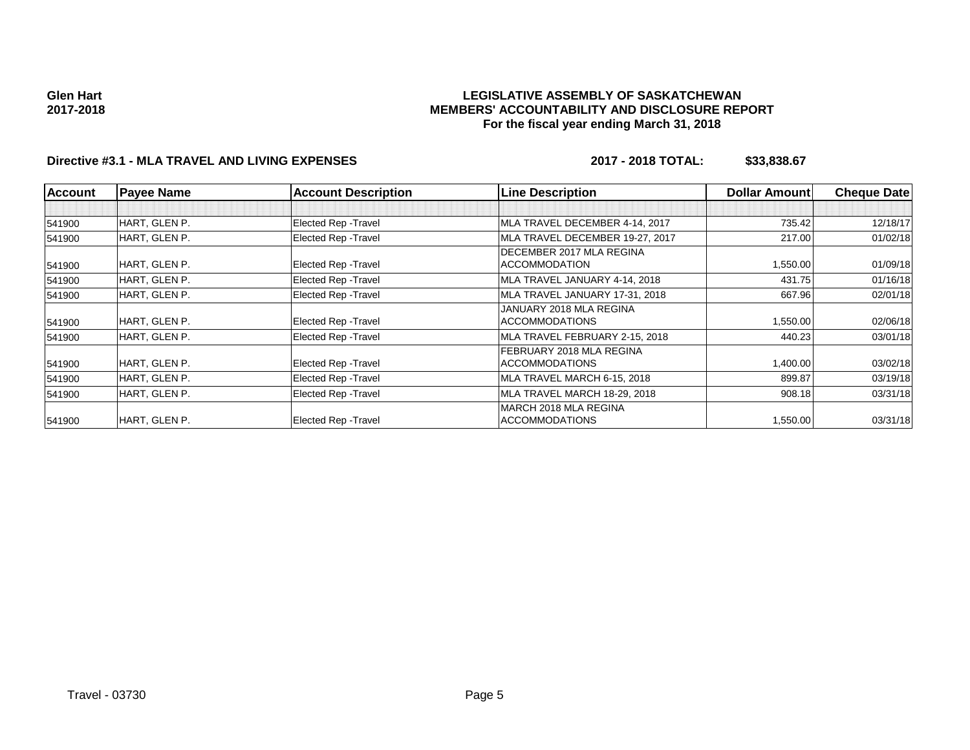### **LEGISLATIVE ASSEMBLY OF SASKATCHEWAN MEMBERS' ACCOUNTABILITY AND DISCLOSURE REPORT For the fiscal year ending March 31, 2018**

# **Directive #3.1 - MLA TRAVEL AND LIVING EXPENSES 2017 - 2018 TOTAL: \$33,838.67**

| <b>Account</b> | <b>Payee Name</b> | <b>Account Description</b>  | <b>Line Description</b>         | Dollar Amount | <b>Cheque Date</b> |
|----------------|-------------------|-----------------------------|---------------------------------|---------------|--------------------|
|                |                   |                             |                                 |               |                    |
| 541900         | HART, GLEN P.     | Elected Rep - Travel        | MLA TRAVEL DECEMBER 4-14, 2017  | 735.42        | 12/18/17           |
| 541900         | HART, GLEN P.     | <b>Elected Rep - Travel</b> | MLA TRAVEL DECEMBER 19-27, 2017 | 217.00        | 01/02/18           |
|                |                   |                             | DECEMBER 2017 MLA REGINA        |               |                    |
| 541900         | HART, GLEN P.     | Elected Rep - Travel        | <b>ACCOMMODATION</b>            | 1,550.00      | 01/09/18           |
| 541900         | HART, GLEN P.     | Elected Rep - Travel        | MLA TRAVEL JANUARY 4-14, 2018   | 431.75        | 01/16/18           |
| 541900         | HART, GLEN P.     | <b>Elected Rep - Travel</b> | MLA TRAVEL JANUARY 17-31, 2018  | 667.96        | 02/01/18           |
|                |                   |                             | JANUARY 2018 MLA REGINA         |               |                    |
| 541900         | HART, GLEN P.     | Elected Rep - Travel        | <b>ACCOMMODATIONS</b>           | 1,550.00      | 02/06/18           |
| 541900         | HART, GLEN P.     | Elected Rep - Travel        | MLA TRAVEL FEBRUARY 2-15, 2018  | 440.23        | 03/01/18           |
|                |                   |                             | FEBRUARY 2018 MLA REGINA        |               |                    |
| 541900         | HART, GLEN P.     | Elected Rep - Travel        | <b>ACCOMMODATIONS</b>           | 1,400.00      | 03/02/18           |
| 541900         | HART, GLEN P.     | Elected Rep - Travel        | MLA TRAVEL MARCH 6-15, 2018     | 899.87        | 03/19/18           |
| 541900         | HART, GLEN P.     | Elected Rep - Travel        | MLA TRAVEL MARCH 18-29, 2018    | 908.18        | 03/31/18           |
|                |                   |                             | MARCH 2018 MLA REGINA           |               |                    |
| 541900         | HART, GLEN P.     | Elected Rep - Travel        | <b>ACCOMMODATIONS</b>           | 1,550.00      | 03/31/18           |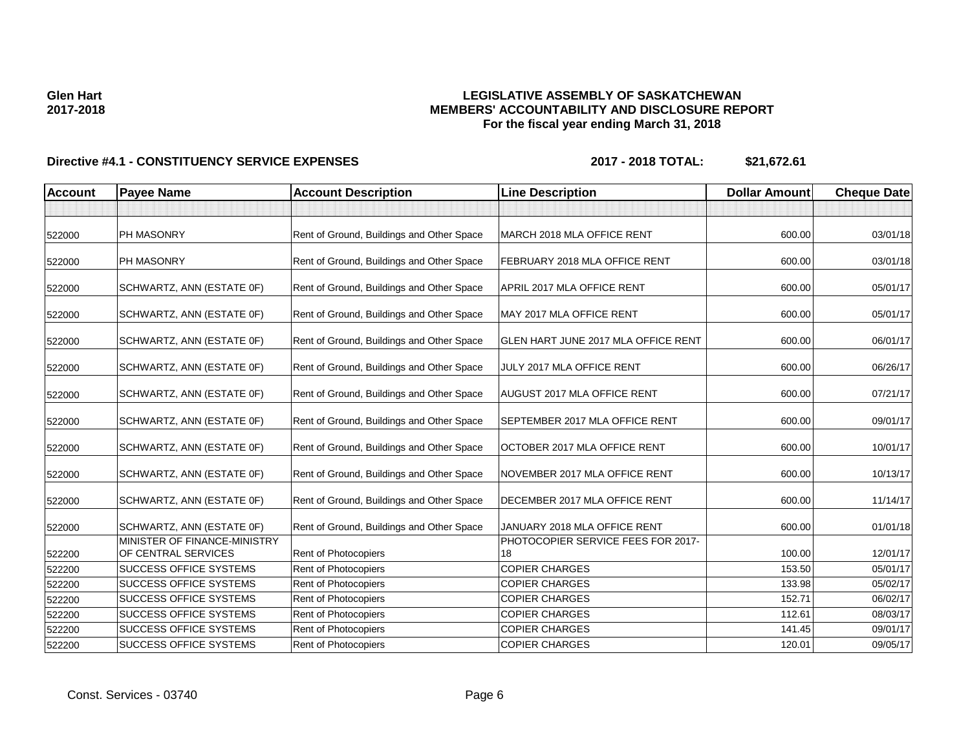# **LEGISLATIVE ASSEMBLY OF SASKATCHEWAN MEMBERS' ACCOUNTABILITY AND DISCLOSURE REPORT For the fiscal year ending March 31, 2018**

| <b>Account</b> | <b>Payee Name</b>                                   | <b>Account Description</b>                | <b>Line Description</b>                  | <b>Dollar Amount</b> | <b>Cheque Date</b> |
|----------------|-----------------------------------------------------|-------------------------------------------|------------------------------------------|----------------------|--------------------|
|                |                                                     |                                           |                                          |                      |                    |
| 522000         | PH MASONRY                                          | Rent of Ground, Buildings and Other Space | MARCH 2018 MLA OFFICE RENT               | 600.00               | 03/01/18           |
| 522000         | PH MASONRY                                          | Rent of Ground, Buildings and Other Space | FEBRUARY 2018 MLA OFFICE RENT            | 600.00               | 03/01/18           |
| 522000         | SCHWARTZ, ANN (ESTATE OF)                           | Rent of Ground, Buildings and Other Space | APRIL 2017 MLA OFFICE RENT               | 600.00               | 05/01/17           |
| 522000         | SCHWARTZ, ANN (ESTATE OF)                           | Rent of Ground, Buildings and Other Space | MAY 2017 MLA OFFICE RENT                 | 600.00               | 05/01/17           |
| 522000         | SCHWARTZ, ANN (ESTATE OF)                           | Rent of Ground, Buildings and Other Space | GLEN HART JUNE 2017 MLA OFFICE RENT      | 600.00               | 06/01/17           |
| 522000         | SCHWARTZ, ANN (ESTATE OF)                           | Rent of Ground, Buildings and Other Space | JULY 2017 MLA OFFICE RENT                | 600.00               | 06/26/17           |
| 522000         | SCHWARTZ, ANN (ESTATE OF)                           | Rent of Ground, Buildings and Other Space | <b>AUGUST 2017 MLA OFFICE RENT</b>       | 600.00               | 07/21/17           |
| 522000         | SCHWARTZ, ANN (ESTATE OF)                           | Rent of Ground, Buildings and Other Space | SEPTEMBER 2017 MLA OFFICE RENT           | 600.00               | 09/01/17           |
| 522000         | SCHWARTZ, ANN (ESTATE OF)                           | Rent of Ground, Buildings and Other Space | OCTOBER 2017 MLA OFFICE RENT             | 600.00               | 10/01/17           |
| 522000         | SCHWARTZ, ANN (ESTATE OF)                           | Rent of Ground, Buildings and Other Space | NOVEMBER 2017 MLA OFFICE RENT            | 600.00               | 10/13/17           |
| 522000         | SCHWARTZ, ANN (ESTATE OF)                           | Rent of Ground, Buildings and Other Space | DECEMBER 2017 MLA OFFICE RENT            | 600.00               | 11/14/17           |
| 522000         | SCHWARTZ, ANN (ESTATE OF)                           | Rent of Ground, Buildings and Other Space | JANUARY 2018 MLA OFFICE RENT             | 600.00               | 01/01/18           |
| 522200         | MINISTER OF FINANCE-MINISTRY<br>OF CENTRAL SERVICES | Rent of Photocopiers                      | PHOTOCOPIER SERVICE FEES FOR 2017-<br>18 | 100.00               | 12/01/17           |
| 522200         | <b>SUCCESS OFFICE SYSTEMS</b>                       | <b>Rent of Photocopiers</b>               | <b>COPIER CHARGES</b>                    | 153.50               | 05/01/17           |
| 522200         | SUCCESS OFFICE SYSTEMS                              | Rent of Photocopiers                      | <b>COPIER CHARGES</b>                    | 133.98               | 05/02/17           |
| 522200         | SUCCESS OFFICE SYSTEMS                              | Rent of Photocopiers                      | <b>COPIER CHARGES</b>                    | 152.71               | 06/02/17           |
| 522200         | SUCCESS OFFICE SYSTEMS                              | Rent of Photocopiers                      | <b>COPIER CHARGES</b>                    | 112.61               | 08/03/17           |
| 522200         | SUCCESS OFFICE SYSTEMS                              | <b>Rent of Photocopiers</b>               | <b>COPIER CHARGES</b>                    | 141.45               | 09/01/17           |
| 522200         | <b>SUCCESS OFFICE SYSTEMS</b>                       | Rent of Photocopiers                      | <b>COPIER CHARGES</b>                    | 120.01               | 09/05/17           |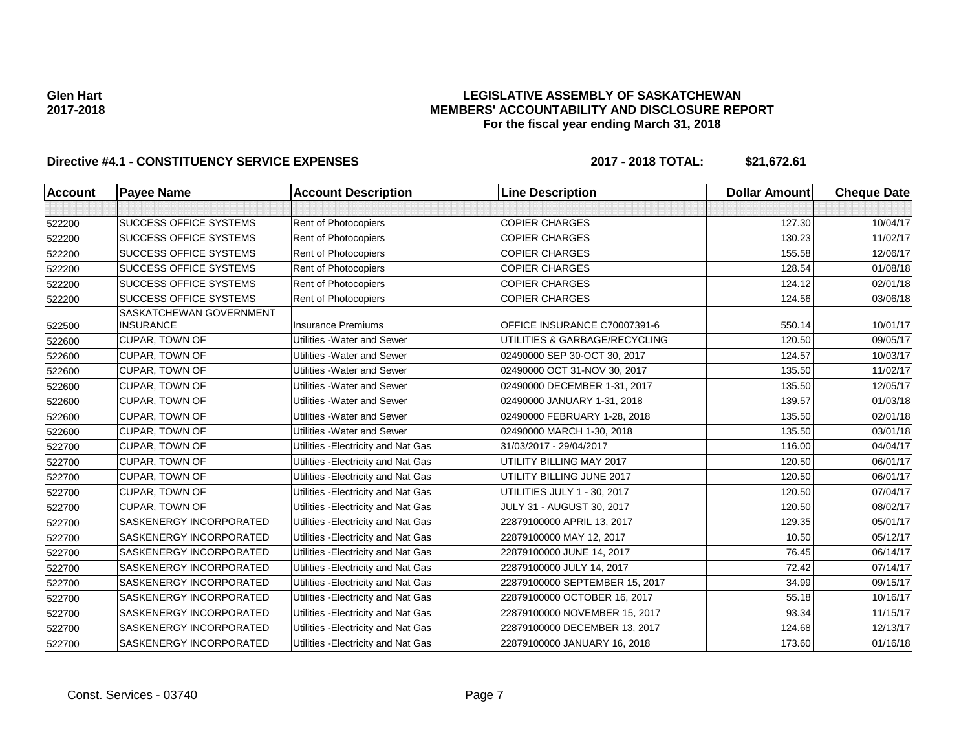## **LEGISLATIVE ASSEMBLY OF SASKATCHEWAN MEMBERS' ACCOUNTABILITY AND DISCLOSURE REPORT For the fiscal year ending March 31, 2018**

| <b>Account</b> | <b>Payee Name</b>                           | <b>Account Description</b>          | <b>Line Description</b>        | <b>Dollar Amount</b> | <b>Cheque Date</b> |
|----------------|---------------------------------------------|-------------------------------------|--------------------------------|----------------------|--------------------|
|                |                                             |                                     |                                |                      |                    |
| 522200         | <b>SUCCESS OFFICE SYSTEMS</b>               | Rent of Photocopiers                | <b>COPIER CHARGES</b>          | 127.30               | 10/04/17           |
| 522200         | <b>SUCCESS OFFICE SYSTEMS</b>               | Rent of Photocopiers                | <b>COPIER CHARGES</b>          | 130.23               | 11/02/17           |
| 522200         | <b>SUCCESS OFFICE SYSTEMS</b>               | Rent of Photocopiers                | <b>COPIER CHARGES</b>          | 155.58               | 12/06/17           |
| 522200         | <b>SUCCESS OFFICE SYSTEMS</b>               | Rent of Photocopiers                | <b>COPIER CHARGES</b>          | 128.54               | 01/08/18           |
| 522200         | <b>SUCCESS OFFICE SYSTEMS</b>               | Rent of Photocopiers                | <b>COPIER CHARGES</b>          | 124.12               | 02/01/18           |
| 522200         | <b>SUCCESS OFFICE SYSTEMS</b>               | Rent of Photocopiers                | <b>COPIER CHARGES</b>          | 124.56               | 03/06/18           |
| 522500         | SASKATCHEWAN GOVERNMENT<br><b>INSURANCE</b> | <b>Insurance Premiums</b>           | OFFICE INSURANCE C70007391-6   | 550.14               | 10/01/17           |
| 522600         | CUPAR, TOWN OF                              | Utilities - Water and Sewer         | UTILITIES & GARBAGE/RECYCLING  | 120.50               | 09/05/17           |
| 522600         | CUPAR, TOWN OF                              | Utilities - Water and Sewer         | 02490000 SEP 30-OCT 30, 2017   | 124.57               | 10/03/17           |
| 522600         | <b>CUPAR, TOWN OF</b>                       | Utilities - Water and Sewer         | 02490000 OCT 31-NOV 30, 2017   | 135.50               | 11/02/17           |
| 522600         | <b>CUPAR, TOWN OF</b>                       | Utilities - Water and Sewer         | 02490000 DECEMBER 1-31, 2017   | 135.50               | 12/05/17           |
| 522600         | <b>CUPAR, TOWN OF</b>                       | Utilities - Water and Sewer         | 02490000 JANUARY 1-31, 2018    | 139.57               | 01/03/18           |
| 522600         | CUPAR, TOWN OF                              | Utilities - Water and Sewer         | 02490000 FEBRUARY 1-28, 2018   | 135.50               | 02/01/18           |
| 522600         | <b>CUPAR, TOWN OF</b>                       | Utilities - Water and Sewer         | 02490000 MARCH 1-30, 2018      | 135.50               | 03/01/18           |
| 522700         | <b>CUPAR, TOWN OF</b>                       | Utilities - Electricity and Nat Gas | 31/03/2017 - 29/04/2017        | 116.00               | 04/04/17           |
| 522700         | <b>CUPAR, TOWN OF</b>                       | Utilities - Electricity and Nat Gas | UTILITY BILLING MAY 2017       | 120.50               | 06/01/17           |
| 522700         | <b>CUPAR, TOWN OF</b>                       | Utilities - Electricity and Nat Gas | UTILITY BILLING JUNE 2017      | 120.50               | 06/01/17           |
| 522700         | CUPAR, TOWN OF                              | Utilities - Electricity and Nat Gas | UTILITIES JULY 1 - 30, 2017    | 120.50               | 07/04/17           |
| 522700         | <b>CUPAR, TOWN OF</b>                       | Utilities - Electricity and Nat Gas | JULY 31 - AUGUST 30, 2017      | 120.50               | 08/02/17           |
| 522700         | SASKENERGY INCORPORATED                     | Utilities - Electricity and Nat Gas | 22879100000 APRIL 13, 2017     | 129.35               | 05/01/17           |
| 522700         | SASKENERGY INCORPORATED                     | Utilities - Electricity and Nat Gas | 22879100000 MAY 12, 2017       | 10.50                | 05/12/17           |
| 522700         | SASKENERGY INCORPORATED                     | Utilities - Electricity and Nat Gas | 22879100000 JUNE 14, 2017      | 76.45                | 06/14/17           |
| 522700         | <b>SASKENERGY INCORPORATED</b>              | Utilities - Electricity and Nat Gas | 22879100000 JULY 14, 2017      | 72.42                | 07/14/17           |
| 522700         | SASKENERGY INCORPORATED                     | Utilities - Electricity and Nat Gas | 22879100000 SEPTEMBER 15, 2017 | 34.99                | 09/15/17           |
| 522700         | SASKENERGY INCORPORATED                     | Utilities - Electricity and Nat Gas | 22879100000 OCTOBER 16, 2017   | 55.18                | 10/16/17           |
| 522700         | SASKENERGY INCORPORATED                     | Utilities - Electricity and Nat Gas | 22879100000 NOVEMBER 15, 2017  | 93.34                | 11/15/17           |
| 522700         | SASKENERGY INCORPORATED                     | Utilities - Electricity and Nat Gas | 22879100000 DECEMBER 13, 2017  | 124.68               | 12/13/17           |
| 522700         | SASKENERGY INCORPORATED                     | Utilities - Electricity and Nat Gas | 22879100000 JANUARY 16, 2018   | 173.60               | 01/16/18           |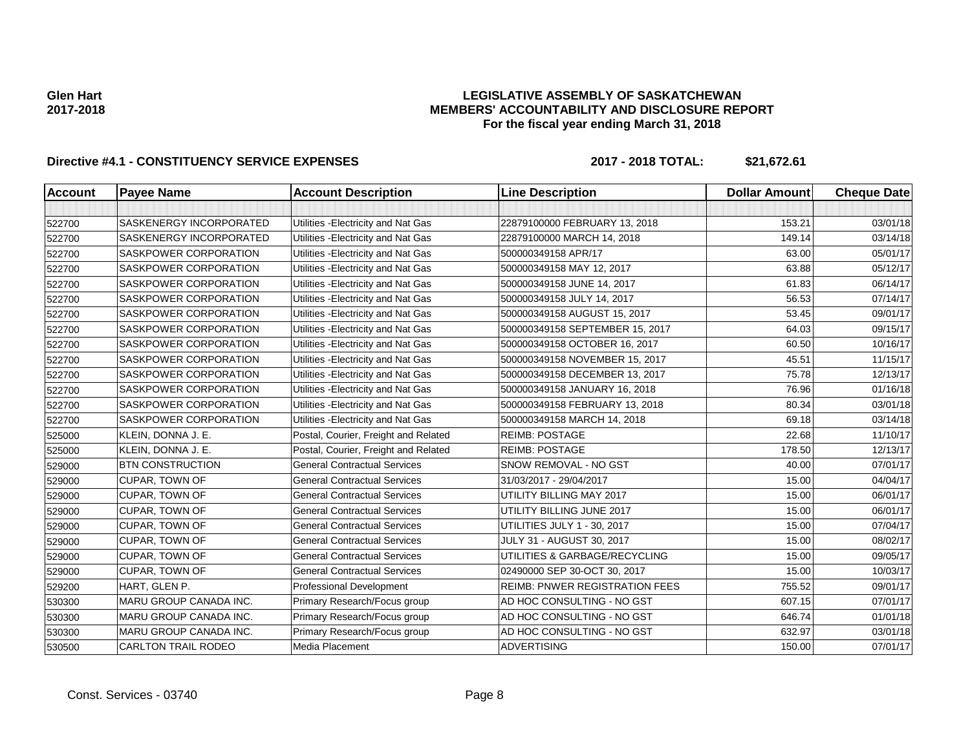## **LEGISLATIVE ASSEMBLY OF SASKATCHEWAN MEMBERS' ACCOUNTABILITY AND DISCLOSURE REPORT For the fiscal year ending March 31, 2018**

| <b>Account</b> | <b>Payee Name</b>          | <b>Account Description</b>           | <b>Line Description</b>               | <b>Dollar Amount</b> | <b>Cheque Date</b> |
|----------------|----------------------------|--------------------------------------|---------------------------------------|----------------------|--------------------|
|                |                            |                                      |                                       |                      |                    |
| 522700         | SASKENERGY INCORPORATED    | Utilities - Electricity and Nat Gas  | 22879100000 FEBRUARY 13, 2018         | 153.21               | 03/01/18           |
| 522700         | SASKENERGY INCORPORATED    | Utilities - Electricity and Nat Gas  | 22879100000 MARCH 14, 2018            | 149.14               | 03/14/18           |
| 522700         | SASKPOWER CORPORATION      | Utilities - Electricity and Nat Gas  | 500000349158 APR/17                   | 63.00                | 05/01/17           |
| 522700         | SASKPOWER CORPORATION      | Utilities - Electricity and Nat Gas  | 500000349158 MAY 12, 2017             | 63.88                | 05/12/17           |
| 522700         | SASKPOWER CORPORATION      | Utilities - Electricity and Nat Gas  | 500000349158 JUNE 14, 2017            | 61.83                | 06/14/17           |
| 522700         | SASKPOWER CORPORATION      | Utilities - Electricity and Nat Gas  | 500000349158 JULY 14, 2017            | 56.53                | 07/14/17           |
| 522700         | SASKPOWER CORPORATION      | Utilities - Electricity and Nat Gas  | 500000349158 AUGUST 15, 2017          | 53.45                | 09/01/17           |
| 522700         | SASKPOWER CORPORATION      | Utilities - Electricity and Nat Gas  | 500000349158 SEPTEMBER 15, 2017       | 64.03                | 09/15/17           |
| 522700         | SASKPOWER CORPORATION      | Utilities - Electricity and Nat Gas  | 500000349158 OCTOBER 16, 2017         | 60.50                | 10/16/17           |
| 522700         | SASKPOWER CORPORATION      | Utilities - Electricity and Nat Gas  | 500000349158 NOVEMBER 15, 2017        | 45.51                | 11/15/17           |
| 522700         | SASKPOWER CORPORATION      | Utilities - Electricity and Nat Gas  | 500000349158 DECEMBER 13, 2017        | 75.78                | 12/13/17           |
| 522700         | SASKPOWER CORPORATION      | Utilities - Electricity and Nat Gas  | 500000349158 JANUARY 16, 2018         | 76.96                | 01/16/18           |
| 522700         | SASKPOWER CORPORATION      | Utilities - Electricity and Nat Gas  | 500000349158 FEBRUARY 13, 2018        | 80.34                | 03/01/18           |
| 522700         | SASKPOWER CORPORATION      | Utilities - Electricity and Nat Gas  | 500000349158 MARCH 14, 2018           | 69.18                | 03/14/18           |
| 525000         | KLEIN, DONNA J. E.         | Postal, Courier, Freight and Related | <b>REIMB: POSTAGE</b>                 | 22.68                | 11/10/17           |
| 525000         | KLEIN, DONNA J. E.         | Postal, Courier, Freight and Related | <b>REIMB: POSTAGE</b>                 | 178.50               | 12/13/17           |
| 529000         | <b>BTN CONSTRUCTION</b>    | <b>General Contractual Services</b>  | SNOW REMOVAL - NO GST                 | 40.00                | 07/01/17           |
| 529000         | <b>CUPAR, TOWN OF</b>      | <b>General Contractual Services</b>  | 31/03/2017 - 29/04/2017               | 15.00                | 04/04/17           |
| 529000         | <b>CUPAR, TOWN OF</b>      | <b>General Contractual Services</b>  | UTILITY BILLING MAY 2017              | 15.00                | 06/01/17           |
| 529000         | <b>CUPAR, TOWN OF</b>      | <b>General Contractual Services</b>  | UTILITY BILLING JUNE 2017             | 15.00                | 06/01/17           |
| 529000         | CUPAR, TOWN OF             | <b>General Contractual Services</b>  | UTILITIES JULY 1 - 30, 2017           | 15.00                | 07/04/17           |
| 529000         | CUPAR, TOWN OF             | <b>General Contractual Services</b>  | <b>JULY 31 - AUGUST 30, 2017</b>      | 15.00                | 08/02/17           |
| 529000         | CUPAR, TOWN OF             | <b>General Contractual Services</b>  | UTILITIES & GARBAGE/RECYCLING         | 15.00                | 09/05/17           |
| 529000         | <b>CUPAR, TOWN OF</b>      | <b>General Contractual Services</b>  | 02490000 SEP 30-OCT 30, 2017          | 15.00                | 10/03/17           |
| 529200         | HART, GLEN P.              | <b>Professional Development</b>      | <b>REIMB: PNWER REGISTRATION FEES</b> | 755.52               | 09/01/17           |
| 530300         | MARU GROUP CANADA INC.     | Primary Research/Focus group         | AD HOC CONSULTING - NO GST            | 607.15               | 07/01/17           |
| 530300         | MARU GROUP CANADA INC.     | Primary Research/Focus group         | AD HOC CONSULTING - NO GST            | 646.74               | 01/01/18           |
| 530300         | MARU GROUP CANADA INC.     | Primary Research/Focus group         | AD HOC CONSULTING - NO GST            | 632.97               | 03/01/18           |
| 530500         | <b>CARLTON TRAIL RODEO</b> | <b>Media Placement</b>               | <b>ADVERTISING</b>                    | 150.00               | 07/01/17           |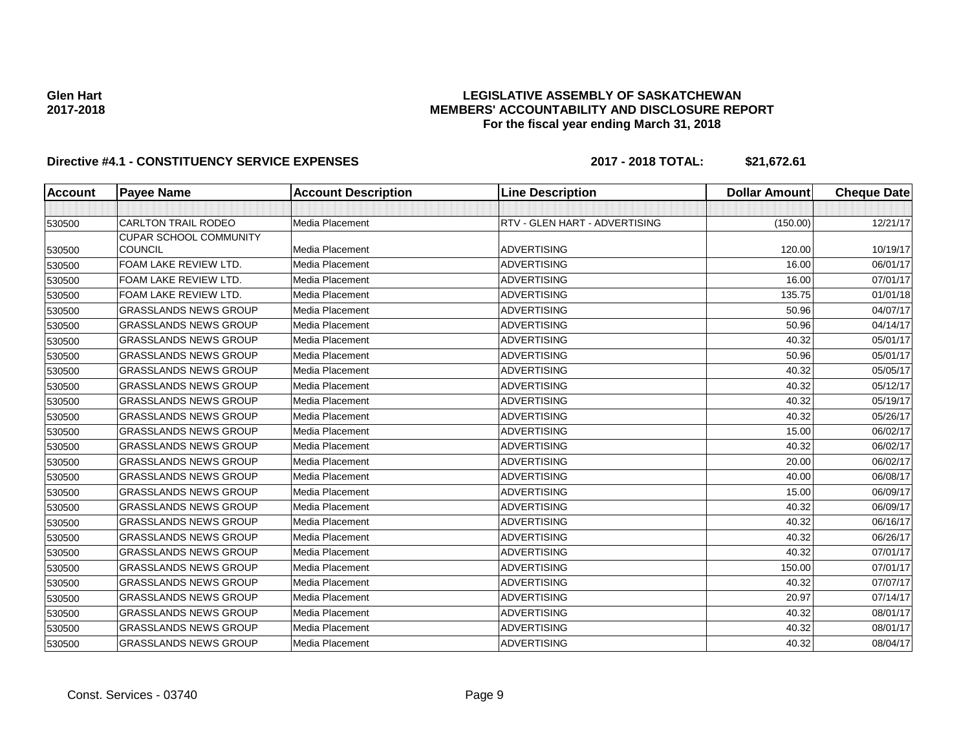## **LEGISLATIVE ASSEMBLY OF SASKATCHEWAN MEMBERS' ACCOUNTABILITY AND DISCLOSURE REPORT For the fiscal year ending March 31, 2018**

| <b>Account</b> | <b>Payee Name</b>             | <b>Account Description</b> | <b>Line Description</b>       | <b>Dollar Amount</b> | <b>Cheque Date</b> |
|----------------|-------------------------------|----------------------------|-------------------------------|----------------------|--------------------|
|                |                               |                            |                               |                      |                    |
| 530500         | <b>CARLTON TRAIL RODEO</b>    | Media Placement            | RTV - GLEN HART - ADVERTISING | (150.00)             | 12/21/17           |
|                | <b>CUPAR SCHOOL COMMUNITY</b> |                            |                               |                      |                    |
| 530500         | <b>COUNCIL</b>                | Media Placement            | <b>ADVERTISING</b>            | 120.00               | 10/19/17           |
| 530500         | FOAM LAKE REVIEW LTD.         | Media Placement            | <b>ADVERTISING</b>            | 16.00                | 06/01/17           |
| 530500         | FOAM LAKE REVIEW LTD.         | Media Placement            | <b>ADVERTISING</b>            | 16.00                | 07/01/17           |
| 530500         | FOAM LAKE REVIEW LTD.         | Media Placement            | <b>ADVERTISING</b>            | 135.75               | 01/01/18           |
| 530500         | <b>GRASSLANDS NEWS GROUP</b>  | Media Placement            | <b>ADVERTISING</b>            | 50.96                | 04/07/17           |
| 530500         | <b>GRASSLANDS NEWS GROUP</b>  | Media Placement            | <b>ADVERTISING</b>            | 50.96                | 04/14/17           |
| 530500         | <b>GRASSLANDS NEWS GROUP</b>  | Media Placement            | <b>ADVERTISING</b>            | 40.32                | 05/01/17           |
| 530500         | <b>GRASSLANDS NEWS GROUP</b>  | Media Placement            | <b>ADVERTISING</b>            | 50.96                | 05/01/17           |
| 530500         | <b>GRASSLANDS NEWS GROUP</b>  | Media Placement            | <b>ADVERTISING</b>            | 40.32                | 05/05/17           |
| 530500         | <b>GRASSLANDS NEWS GROUP</b>  | Media Placement            | <b>ADVERTISING</b>            | 40.32                | 05/12/17           |
| 530500         | <b>GRASSLANDS NEWS GROUP</b>  | Media Placement            | <b>ADVERTISING</b>            | 40.32                | 05/19/17           |
| 530500         | <b>GRASSLANDS NEWS GROUP</b>  | Media Placement            | <b>ADVERTISING</b>            | 40.32                | 05/26/17           |
| 530500         | <b>GRASSLANDS NEWS GROUP</b>  | Media Placement            | <b>ADVERTISING</b>            | 15.00                | 06/02/17           |
| 530500         | <b>GRASSLANDS NEWS GROUP</b>  | Media Placement            | <b>ADVERTISING</b>            | 40.32                | 06/02/17           |
| 530500         | <b>GRASSLANDS NEWS GROUP</b>  | Media Placement            | <b>ADVERTISING</b>            | 20.00                | 06/02/17           |
| 530500         | <b>GRASSLANDS NEWS GROUP</b>  | Media Placement            | <b>ADVERTISING</b>            | 40.00                | 06/08/17           |
| 530500         | <b>GRASSLANDS NEWS GROUP</b>  | Media Placement            | <b>ADVERTISING</b>            | 15.00                | 06/09/17           |
| 530500         | <b>GRASSLANDS NEWS GROUP</b>  | Media Placement            | <b>ADVERTISING</b>            | 40.32                | 06/09/17           |
| 530500         | <b>GRASSLANDS NEWS GROUP</b>  | Media Placement            | <b>ADVERTISING</b>            | 40.32                | 06/16/17           |
| 530500         | <b>GRASSLANDS NEWS GROUP</b>  | Media Placement            | <b>ADVERTISING</b>            | 40.32                | 06/26/17           |
| 530500         | <b>GRASSLANDS NEWS GROUP</b>  | Media Placement            | <b>ADVERTISING</b>            | 40.32                | 07/01/17           |
| 530500         | <b>GRASSLANDS NEWS GROUP</b>  | Media Placement            | <b>ADVERTISING</b>            | 150.00               | 07/01/17           |
| 530500         | <b>GRASSLANDS NEWS GROUP</b>  | Media Placement            | <b>ADVERTISING</b>            | 40.32                | 07/07/17           |
| 530500         | <b>GRASSLANDS NEWS GROUP</b>  | Media Placement            | <b>ADVERTISING</b>            | 20.97                | 07/14/17           |
| 530500         | <b>GRASSLANDS NEWS GROUP</b>  | Media Placement            | <b>ADVERTISING</b>            | 40.32                | 08/01/17           |
| 530500         | <b>GRASSLANDS NEWS GROUP</b>  | Media Placement            | <b>ADVERTISING</b>            | 40.32                | 08/01/17           |
| 530500         | <b>GRASSLANDS NEWS GROUP</b>  | Media Placement            | <b>ADVERTISING</b>            | 40.32                | 08/04/17           |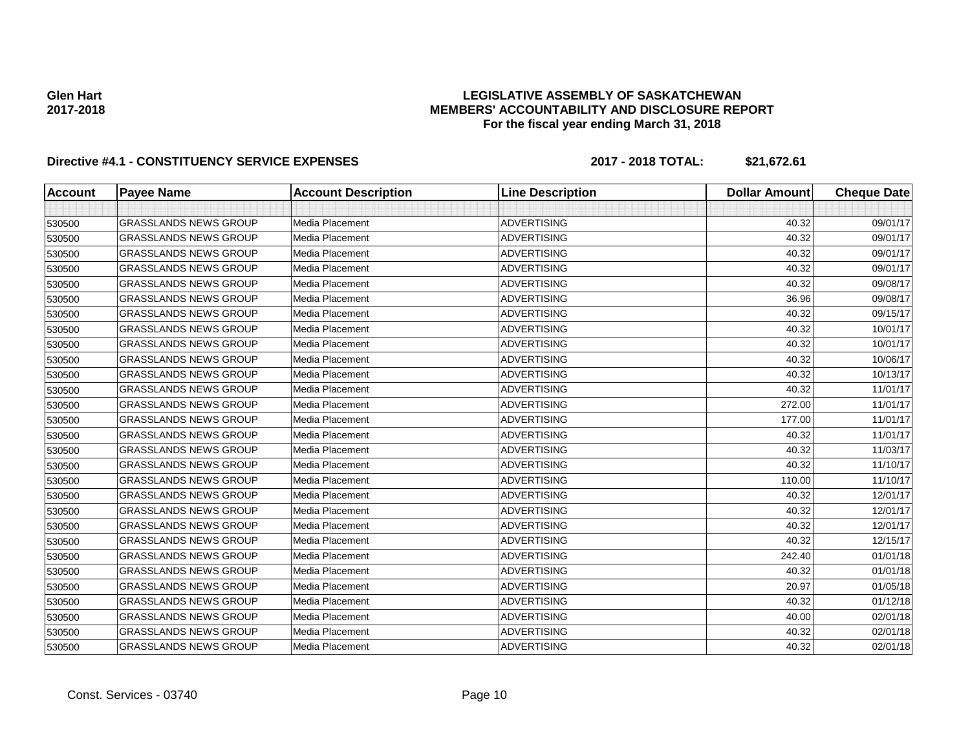## **LEGISLATIVE ASSEMBLY OF SASKATCHEWAN MEMBERS' ACCOUNTABILITY AND DISCLOSURE REPORT For the fiscal year ending March 31, 2018**

| <b>Account</b> | <b>Payee Name</b>            | <b>Account Description</b> | <b>Line Description</b> | <b>Dollar Amount</b> | <b>Cheque Date</b> |
|----------------|------------------------------|----------------------------|-------------------------|----------------------|--------------------|
|                |                              |                            |                         |                      |                    |
| 530500         | <b>GRASSLANDS NEWS GROUP</b> | <b>Media Placement</b>     | <b>ADVERTISING</b>      | 40.32                | 09/01/17           |
| 530500         | <b>GRASSLANDS NEWS GROUP</b> | Media Placement            | <b>ADVERTISING</b>      | 40.32                | 09/01/17           |
| 530500         | <b>GRASSLANDS NEWS GROUP</b> | Media Placement            | <b>ADVERTISING</b>      | 40.32                | 09/01/17           |
| 530500         | <b>GRASSLANDS NEWS GROUP</b> | Media Placement            | <b>ADVERTISING</b>      | 40.32                | 09/01/17           |
| 530500         | <b>GRASSLANDS NEWS GROUP</b> | Media Placement            | <b>ADVERTISING</b>      | 40.32                | 09/08/17           |
| 530500         | <b>GRASSLANDS NEWS GROUP</b> | Media Placement            | <b>ADVERTISING</b>      | 36.96                | 09/08/17           |
| 530500         | <b>GRASSLANDS NEWS GROUP</b> | Media Placement            | <b>ADVERTISING</b>      | 40.32                | 09/15/17           |
| 530500         | <b>GRASSLANDS NEWS GROUP</b> | Media Placement            | <b>ADVERTISING</b>      | 40.32                | 10/01/17           |
| 530500         | <b>GRASSLANDS NEWS GROUP</b> | <b>Media Placement</b>     | <b>ADVERTISING</b>      | 40.32                | 10/01/17           |
| 530500         | <b>GRASSLANDS NEWS GROUP</b> | Media Placement            | <b>ADVERTISING</b>      | 40.32                | 10/06/17           |
| 530500         | <b>GRASSLANDS NEWS GROUP</b> | Media Placement            | <b>ADVERTISING</b>      | 40.32                | 10/13/17           |
| 530500         | <b>GRASSLANDS NEWS GROUP</b> | Media Placement            | <b>ADVERTISING</b>      | 40.32                | 11/01/17           |
| 530500         | <b>GRASSLANDS NEWS GROUP</b> | Media Placement            | <b>ADVERTISING</b>      | 272.00               | 11/01/17           |
| 530500         | <b>GRASSLANDS NEWS GROUP</b> | <b>Media Placement</b>     | <b>ADVERTISING</b>      | 177.00               | 11/01/17           |
| 530500         | <b>GRASSLANDS NEWS GROUP</b> | Media Placement            | <b>ADVERTISING</b>      | 40.32                | 11/01/17           |
| 530500         | <b>GRASSLANDS NEWS GROUP</b> | Media Placement            | <b>ADVERTISING</b>      | 40.32                | 11/03/17           |
| 530500         | <b>GRASSLANDS NEWS GROUP</b> | Media Placement            | <b>ADVERTISING</b>      | 40.32                | 11/10/17           |
| 530500         | <b>GRASSLANDS NEWS GROUP</b> | Media Placement            | <b>ADVERTISING</b>      | 110.00               | 11/10/17           |
| 530500         | <b>GRASSLANDS NEWS GROUP</b> | Media Placement            | <b>ADVERTISING</b>      | 40.32                | 12/01/17           |
| 530500         | <b>GRASSLANDS NEWS GROUP</b> | Media Placement            | <b>ADVERTISING</b>      | 40.32                | 12/01/17           |
| 530500         | <b>GRASSLANDS NEWS GROUP</b> | <b>Media Placement</b>     | <b>ADVERTISING</b>      | 40.32                | 12/01/17           |
| 530500         | <b>GRASSLANDS NEWS GROUP</b> | <b>Media Placement</b>     | <b>ADVERTISING</b>      | 40.32                | 12/15/17           |
| 530500         | <b>GRASSLANDS NEWS GROUP</b> | Media Placement            | <b>ADVERTISING</b>      | 242.40               | 01/01/18           |
| 530500         | <b>GRASSLANDS NEWS GROUP</b> | Media Placement            | <b>ADVERTISING</b>      | 40.32                | 01/01/18           |
| 530500         | <b>GRASSLANDS NEWS GROUP</b> | Media Placement            | <b>ADVERTISING</b>      | 20.97                | 01/05/18           |
| 530500         | <b>GRASSLANDS NEWS GROUP</b> | Media Placement            | <b>ADVERTISING</b>      | 40.32                | 01/12/18           |
| 530500         | <b>GRASSLANDS NEWS GROUP</b> | Media Placement            | <b>ADVERTISING</b>      | 40.00                | 02/01/18           |
| 530500         | <b>GRASSLANDS NEWS GROUP</b> | Media Placement            | <b>ADVERTISING</b>      | 40.32                | 02/01/18           |
| 530500         | <b>GRASSLANDS NEWS GROUP</b> | Media Placement            | <b>ADVERTISING</b>      | 40.32                | 02/01/18           |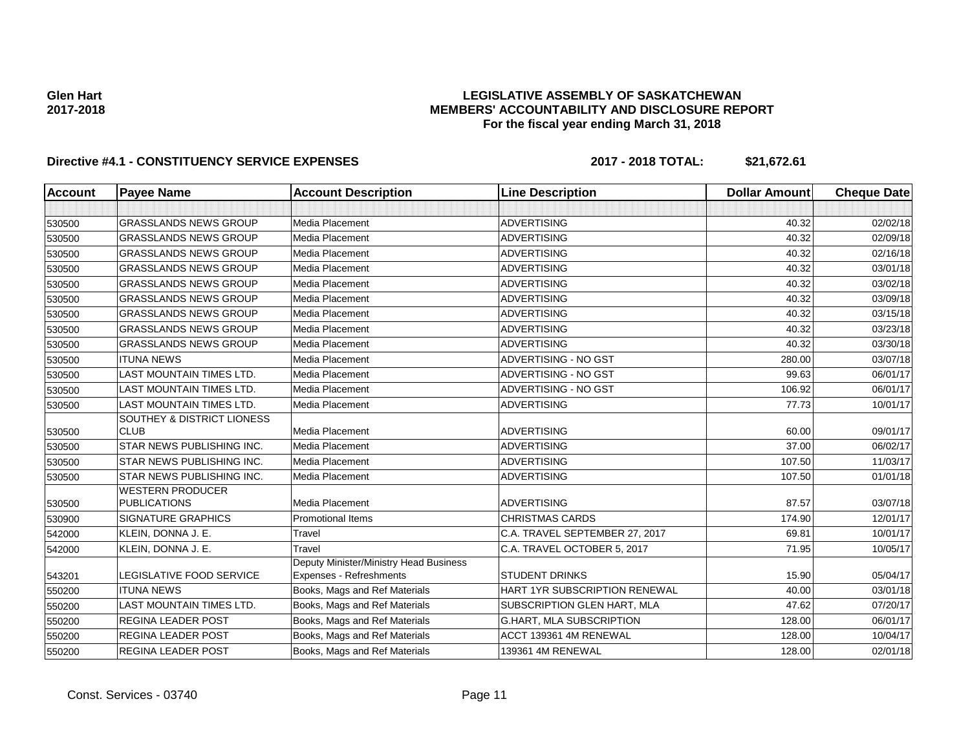## **LEGISLATIVE ASSEMBLY OF SASKATCHEWAN MEMBERS' ACCOUNTABILITY AND DISCLOSURE REPORT For the fiscal year ending March 31, 2018**

| Account | <b>Payee Name</b>                              | <b>Account Description</b>             | <b>Line Description</b>         | <b>Dollar Amount</b> | <b>Cheque Date</b> |
|---------|------------------------------------------------|----------------------------------------|---------------------------------|----------------------|--------------------|
|         |                                                |                                        |                                 |                      |                    |
| 530500  | <b>GRASSLANDS NEWS GROUP</b>                   | Media Placement                        | <b>ADVERTISING</b>              | 40.32                | 02/02/18           |
| 530500  | <b>GRASSLANDS NEWS GROUP</b>                   | Media Placement                        | <b>ADVERTISING</b>              | 40.32                | 02/09/18           |
| 530500  | <b>GRASSLANDS NEWS GROUP</b>                   | Media Placement                        | <b>ADVERTISING</b>              | 40.32                | 02/16/18           |
| 530500  | <b>GRASSLANDS NEWS GROUP</b>                   | <b>Media Placement</b>                 | <b>ADVERTISING</b>              | 40.32                | 03/01/18           |
| 530500  | <b>GRASSLANDS NEWS GROUP</b>                   | Media Placement                        | <b>ADVERTISING</b>              | 40.32                | 03/02/18           |
| 530500  | <b>GRASSLANDS NEWS GROUP</b>                   | Media Placement                        | <b>ADVERTISING</b>              | 40.32                | 03/09/18           |
| 530500  | <b>GRASSLANDS NEWS GROUP</b>                   | Media Placement                        | <b>ADVERTISING</b>              | 40.32                | 03/15/18           |
| 530500  | <b>GRASSLANDS NEWS GROUP</b>                   | Media Placement                        | <b>ADVERTISING</b>              | 40.32                | 03/23/18           |
| 530500  | <b>GRASSLANDS NEWS GROUP</b>                   | Media Placement                        | <b>ADVERTISING</b>              | 40.32                | 03/30/18           |
| 530500  | <b>ITUNA NEWS</b>                              | Media Placement                        | ADVERTISING - NO GST            | 280.00               | 03/07/18           |
| 530500  | <b>LAST MOUNTAIN TIMES LTD.</b>                | Media Placement                        | ADVERTISING - NO GST            | 99.63                | 06/01/17           |
| 530500  | <b>LAST MOUNTAIN TIMES LTD.</b>                | Media Placement                        | ADVERTISING - NO GST            | 106.92               | 06/01/17           |
| 530500  | <b>LAST MOUNTAIN TIMES LTD.</b>                | Media Placement                        | <b>ADVERTISING</b>              | 77.73                | 10/01/17           |
|         | <b>SOUTHEY &amp; DISTRICT LIONESS</b>          |                                        |                                 |                      |                    |
| 530500  | <b>CLUB</b>                                    | <b>Media Placement</b>                 | <b>ADVERTISING</b>              | 60.00                | 09/01/17           |
| 530500  | STAR NEWS PUBLISHING INC.                      | <b>Media Placement</b>                 | <b>ADVERTISING</b>              | 37.00                | 06/02/17           |
| 530500  | STAR NEWS PUBLISHING INC.                      | <b>Media Placement</b>                 | <b>ADVERTISING</b>              | 107.50               | 11/03/17           |
| 530500  | STAR NEWS PUBLISHING INC.                      | Media Placement                        | <b>ADVERTISING</b>              | 107.50               | 01/01/18           |
| 530500  | <b>WESTERN PRODUCER</b><br><b>PUBLICATIONS</b> | Media Placement                        | <b>ADVERTISING</b>              | 87.57                | 03/07/18           |
| 530900  | <b>SIGNATURE GRAPHICS</b>                      | <b>Promotional Items</b>               | <b>CHRISTMAS CARDS</b>          | 174.90               | 12/01/17           |
| 542000  | KLEIN, DONNA J. E.                             | Travel                                 | C.A. TRAVEL SEPTEMBER 27, 2017  | 69.81                | 10/01/17           |
| 542000  | KLEIN, DONNA J. E.                             | Travel                                 | C.A. TRAVEL OCTOBER 5, 2017     | 71.95                | 10/05/17           |
|         |                                                | Deputy Minister/Ministry Head Business |                                 |                      |                    |
| 543201  | <b>LEGISLATIVE FOOD SERVICE</b>                | Expenses - Refreshments                | STUDENT DRINKS                  | 15.90                | 05/04/17           |
| 550200  | <b>ITUNA NEWS</b>                              | Books, Mags and Ref Materials          | HART 1YR SUBSCRIPTION RENEWAL   | 40.00                | 03/01/18           |
| 550200  | <b>LAST MOUNTAIN TIMES LTD.</b>                | Books, Mags and Ref Materials          | SUBSCRIPTION GLEN HART, MLA     | 47.62                | 07/20/17           |
| 550200  | <b>REGINA LEADER POST</b>                      | Books, Mags and Ref Materials          | <b>G.HART, MLA SUBSCRIPTION</b> | 128.00               | 06/01/17           |
| 550200  | <b>REGINA LEADER POST</b>                      | Books, Mags and Ref Materials          | ACCT 139361 4M RENEWAL          | 128.00               | 10/04/17           |
| 550200  | <b>REGINA LEADER POST</b>                      | Books, Mags and Ref Materials          | 139361 4M RENEWAL               | 128.00               | 02/01/18           |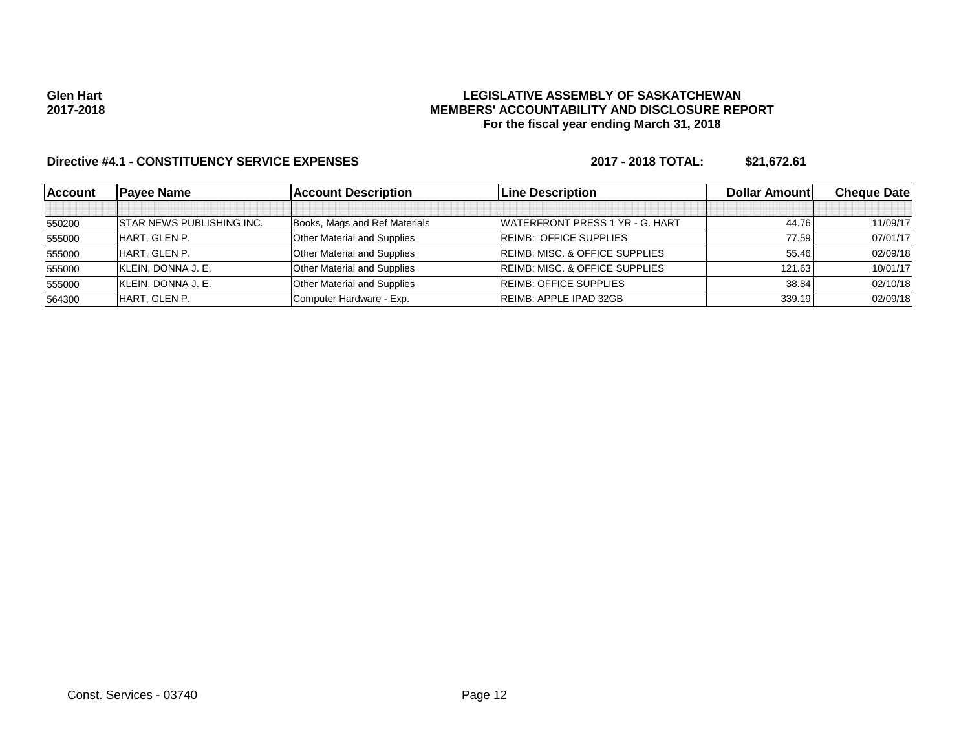### **LEGISLATIVE ASSEMBLY OF SASKATCHEWAN MEMBERS' ACCOUNTABILITY AND DISCLOSURE REPORT For the fiscal year ending March 31, 2018**

| <b>Account</b> | <b>Pavee Name</b>                | <b>Account Description</b>         | <b>Line Description</b>                   | <b>Dollar Amountl</b> | <b>Cheque Datel</b> |
|----------------|----------------------------------|------------------------------------|-------------------------------------------|-----------------------|---------------------|
|                |                                  |                                    |                                           |                       |                     |
| 550200         | <b>STAR NEWS PUBLISHING INC.</b> | Books, Mags and Ref Materials      | WATERFRONT PRESS 1 YR - G. HART           | 44.76                 | 11/09/17            |
| 555000         | HART. GLEN P.                    | <b>Other Material and Supplies</b> | <b>REIMB: OFFICE SUPPLIES</b>             | 77.59                 | 07/01/17            |
| 555000         | HART, GLEN P.                    | <b>Other Material and Supplies</b> | <b>REIMB: MISC. &amp; OFFICE SUPPLIES</b> | 55.46                 | 02/09/18            |
| 555000         | KLEIN, DONNA J. E.               | <b>Other Material and Supplies</b> | <b>REIMB: MISC. &amp; OFFICE SUPPLIES</b> | 121.63                | 10/01/17            |
| 555000         | KLEIN, DONNA J. E.               | <b>Other Material and Supplies</b> | <b>REIMB: OFFICE SUPPLIES</b>             | 38.84                 | 02/10/18            |
| 564300         | HART. GLEN P.                    | Computer Hardware - Exp.           | <b>REIMB: APPLE IPAD 32GB</b>             | 339.19                | 02/09/18            |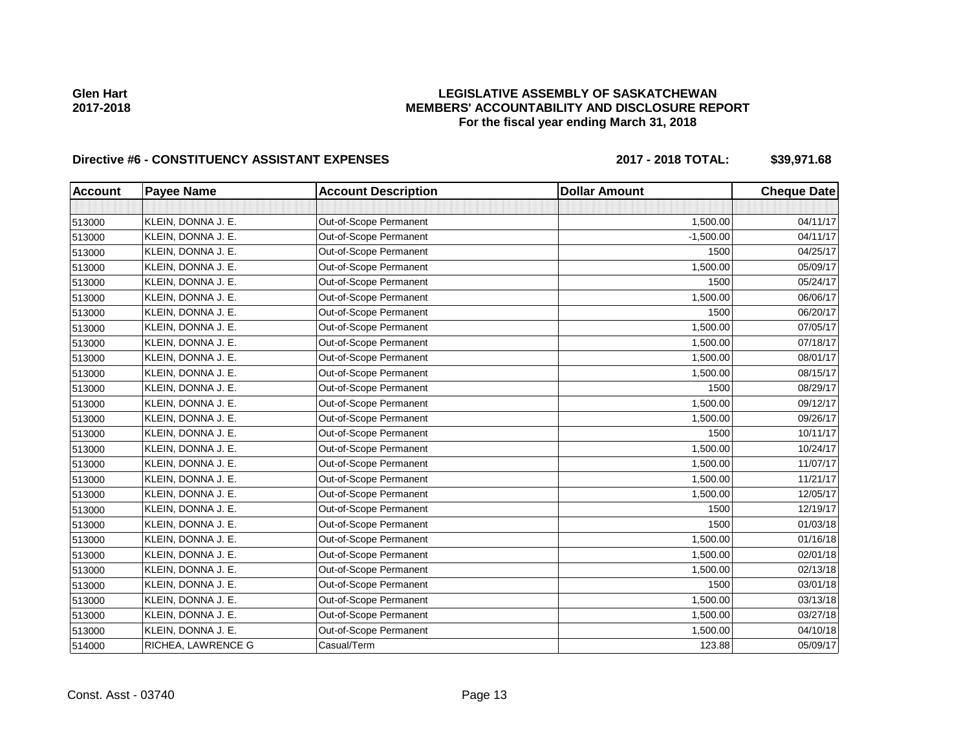# **LEGISLATIVE ASSEMBLY OF SASKATCHEWAN MEMBERS' ACCOUNTABILITY AND DISCLOSURE REPORT For the fiscal year ending March 31, 2018**

# Directive #6 - CONSTITUENCY ASSISTANT EXPENSES 2017 - 2018 TOTAL: \$39,971.68

| <b>Account</b> | <b>Payee Name</b>  | <b>Account Description</b> | <b>Dollar Amount</b> | <b>Cheque Date</b> |
|----------------|--------------------|----------------------------|----------------------|--------------------|
|                |                    |                            |                      |                    |
| 513000         | KLEIN, DONNA J. E. | Out-of-Scope Permanent     | 1,500.00             | 04/11/17           |
| 513000         | KLEIN, DONNA J. E. | Out-of-Scope Permanent     | $-1,500.00$          | 04/11/17           |
| 513000         | KLEIN, DONNA J. E. | Out-of-Scope Permanent     | 1500                 | 04/25/17           |
| 513000         | KLEIN, DONNA J. E. | Out-of-Scope Permanent     | 1,500.00             | 05/09/17           |
| 513000         | KLEIN, DONNA J. E. | Out-of-Scope Permanent     | 1500                 | 05/24/17           |
| 513000         | KLEIN, DONNA J. E. | Out-of-Scope Permanent     | 1,500.00             | 06/06/17           |
| 513000         | KLEIN, DONNA J. E. | Out-of-Scope Permanent     | 1500                 | 06/20/17           |
| 513000         | KLEIN, DONNA J. E. | Out-of-Scope Permanent     | 1,500.00             | 07/05/17           |
| 513000         | KLEIN, DONNA J. E. | Out-of-Scope Permanent     | 1,500.00             | 07/18/17           |
| 513000         | KLEIN, DONNA J. E. | Out-of-Scope Permanent     | 1,500.00             | 08/01/17           |
| 513000         | KLEIN, DONNA J. E. | Out-of-Scope Permanent     | 1,500.00             | 08/15/17           |
| 513000         | KLEIN, DONNA J. E. | Out-of-Scope Permanent     | 1500                 | 08/29/17           |
| 513000         | KLEIN, DONNA J. E. | Out-of-Scope Permanent     | 1,500.00             | 09/12/17           |
| 513000         | KLEIN, DONNA J. E. | Out-of-Scope Permanent     | 1,500.00             | 09/26/17           |
| 513000         | KLEIN, DONNA J. E. | Out-of-Scope Permanent     | 1500                 | 10/11/17           |
| 513000         | KLEIN, DONNA J. E. | Out-of-Scope Permanent     | 1,500.00             | 10/24/17           |
| 513000         | KLEIN, DONNA J. E. | Out-of-Scope Permanent     | 1,500.00             | 11/07/17           |
| 513000         | KLEIN, DONNA J. E. | Out-of-Scope Permanent     | 1,500.00             | 11/21/17           |
| 513000         | KLEIN, DONNA J. E. | Out-of-Scope Permanent     | 1,500.00             | 12/05/17           |
| 513000         | KLEIN, DONNA J. E. | Out-of-Scope Permanent     | 1500                 | 12/19/17           |
| 513000         | KLEIN, DONNA J. E. | Out-of-Scope Permanent     | 1500                 | 01/03/18           |
| 513000         | KLEIN, DONNA J. E. | Out-of-Scope Permanent     | 1,500.00             | 01/16/18           |
| 513000         | KLEIN, DONNA J. E. | Out-of-Scope Permanent     | 1,500.00             | 02/01/18           |
| 513000         | KLEIN, DONNA J. E. | Out-of-Scope Permanent     | 1,500.00             | 02/13/18           |
| 513000         | KLEIN, DONNA J. E. | Out-of-Scope Permanent     | 1500                 | 03/01/18           |
| 513000         | KLEIN, DONNA J. E. | Out-of-Scope Permanent     | 1,500.00             | 03/13/18           |
| 513000         | KLEIN, DONNA J. E. | Out-of-Scope Permanent     | 1,500.00             | 03/27/18           |
| 513000         | KLEIN, DONNA J. E. | Out-of-Scope Permanent     | 1,500.00             | 04/10/18           |
| 514000         | RICHEA, LAWRENCE G | Casual/Term                | 123.88               | 05/09/17           |